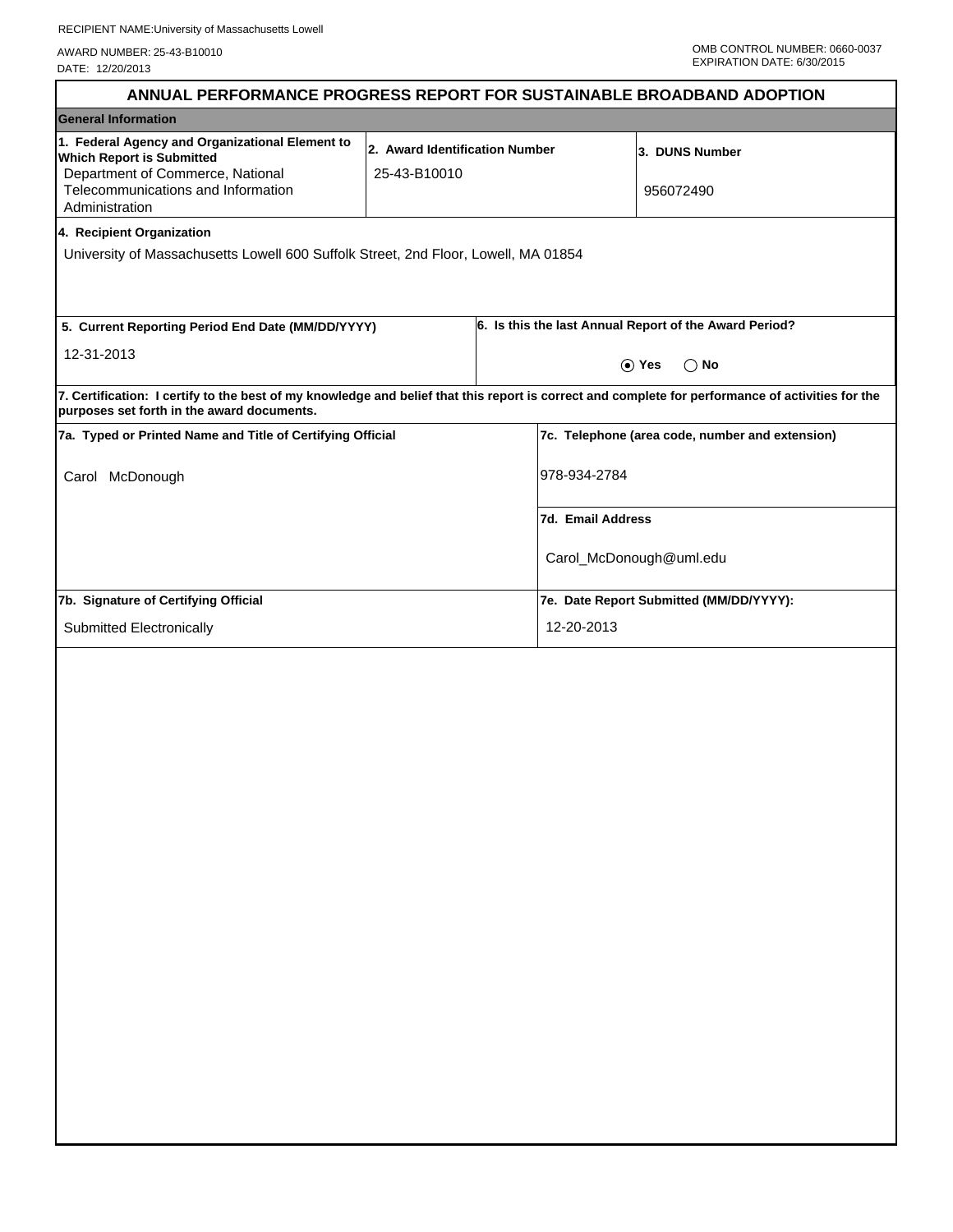AWARD NUMBER: 25-43-B10010 DATE: 12/20/2013

| ANNUAL PERFORMANCE PROGRESS REPORT FOR SUSTAINABLE BROADBAND ADOPTION                                                                                                                           |                                                |                                                 |                                                        |
|-------------------------------------------------------------------------------------------------------------------------------------------------------------------------------------------------|------------------------------------------------|-------------------------------------------------|--------------------------------------------------------|
| <b>General Information</b>                                                                                                                                                                      |                                                |                                                 |                                                        |
| 1. Federal Agency and Organizational Element to<br><b>Which Report is Submitted</b><br>Department of Commerce, National<br>Telecommunications and Information                                   | 2. Award Identification Number<br>25-43-B10010 |                                                 | 3. DUNS Number<br>956072490                            |
| Administration                                                                                                                                                                                  |                                                |                                                 |                                                        |
| 4. Recipient Organization<br>University of Massachusetts Lowell 600 Suffolk Street, 2nd Floor, Lowell, MA 01854                                                                                 |                                                |                                                 |                                                        |
| 5. Current Reporting Period End Date (MM/DD/YYYY)                                                                                                                                               |                                                |                                                 | 6. Is this the last Annual Report of the Award Period? |
| 12-31-2013                                                                                                                                                                                      |                                                | $\odot$ Yes<br>$\bigcap$ No                     |                                                        |
| 7. Certification: I certify to the best of my knowledge and belief that this report is correct and complete for performance of activities for the<br>purposes set forth in the award documents. |                                                |                                                 |                                                        |
| 7a. Typed or Printed Name and Title of Certifying Official                                                                                                                                      |                                                | 7c. Telephone (area code, number and extension) |                                                        |
| McDonough<br>Carol                                                                                                                                                                              |                                                | 978-934-2784                                    |                                                        |
|                                                                                                                                                                                                 |                                                | 7d. Email Address                               |                                                        |
|                                                                                                                                                                                                 |                                                | Carol_McDonough@uml.edu                         |                                                        |
| 7b. Signature of Certifying Official                                                                                                                                                            |                                                | 7e. Date Report Submitted (MM/DD/YYYY):         |                                                        |
| Submitted Electronically                                                                                                                                                                        |                                                | 12-20-2013                                      |                                                        |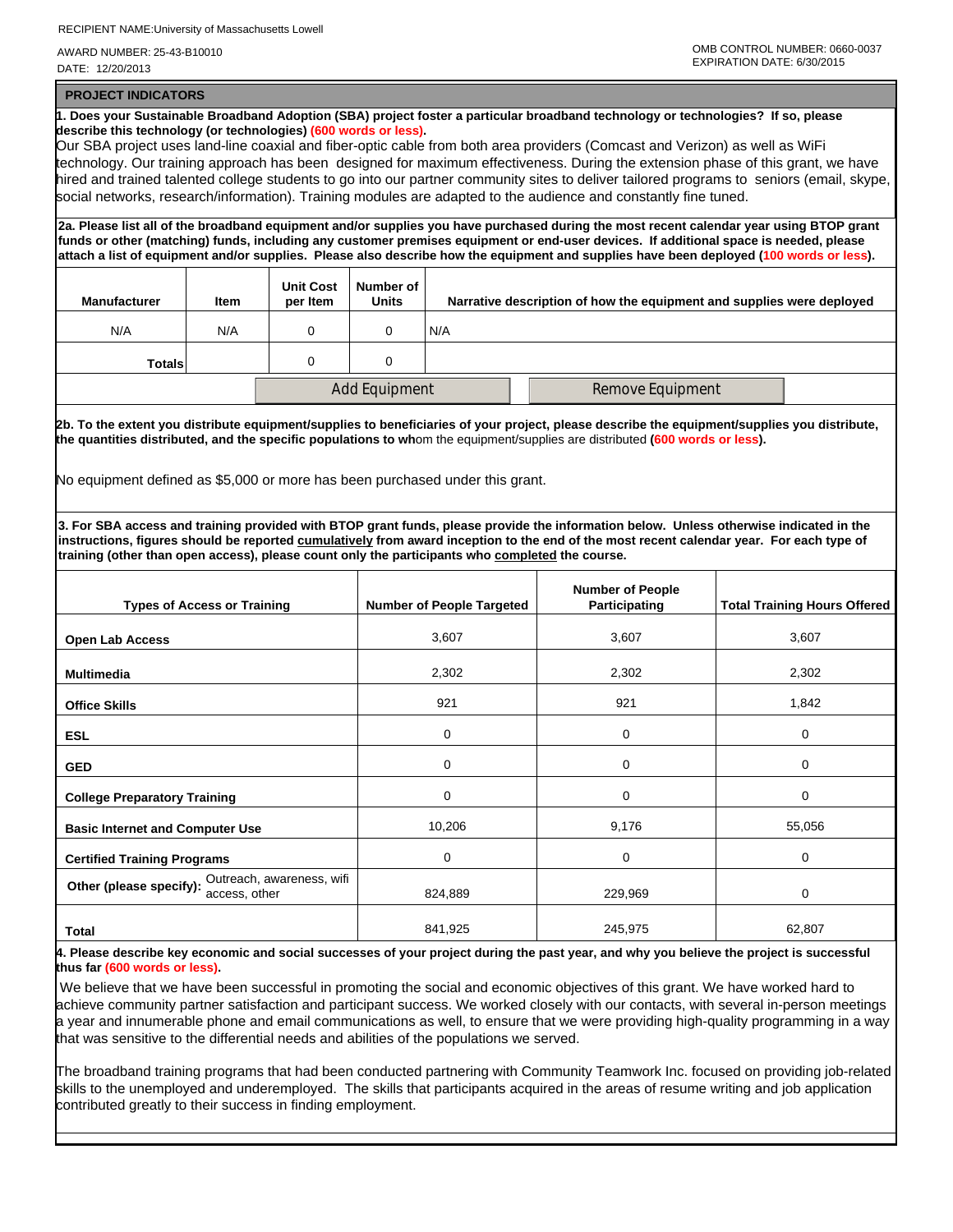RECIPIENT NAME:University of Massachusetts Lowell

AWARD NUMBER: 25-43-B10010 DATE: 12/20/2013

 **PROJECT INDICATORS**

**1. Does your Sustainable Broadband Adoption (SBA) project foster a particular broadband technology or technologies? If so, please describe this technology (or technologies) (600 words or less).** Our SBA project uses land-line coaxial and fiber-optic cable from both area providers (Comcast and Verizon) as well as WiFi technology. Our training approach has been designed for maximum effectiveness. During the extension phase of this grant, we have hired and trained talented college students to go into our partner community sites to deliver tailored programs to seniors (email, skype, social networks, research/information). Training modules are adapted to the audience and constantly fine tuned. **2a. Please list all of the broadband equipment and/or supplies you have purchased during the most recent calendar year using BTOP grant funds or other (matching) funds, including any customer premises equipment or end-user devices. If additional space is needed, please attach a list of equipment and/or supplies. Please also describe how the equipment and supplies have been deployed (100 words or less). Manufacturer Item Unit Cost per Item Number of Units Narrative description of how the equipment and supplies were deployed** N/A N/A 0 0 N/A **Totals** 0 0 0 Add Equipment Remove Equipment  **2b. To the extent you distribute equipment/supplies to beneficiaries of your project, please describe the equipment/supplies you distribute, the quantities distributed, and the specific populations to wh**om the equipment/supplies are distributed **(600 words or less).** No equipment defined as \$5,000 or more has been purchased under this grant. **3. For SBA access and training provided with BTOP grant funds, please provide the information below. Unless otherwise indicated in the instructions, figures should be reported cumulatively from award inception to the end of the most recent calendar year. For each type of training (other than open access), please count only the participants who completed the course. Types of Access or Training Number of People Targeted Number of People Total Training Hours Offered Open Lab Access** 3,607 3,607 3,607 **Multimedia** 2,302 2,302 2,302 2,302 2,302 2,302 **Office Skills** 1,842 **1,842** 1,842 **1,842** 1,842 1,842 1,842 1,842 1,842 1,842 1,842  **ESL** 0 0 0  **GED** 0 0 0  **College Preparatory Training** 0 0 0 **Basic Internet and Computer Use 10,206** 10,206 10,206 9,176 15,056 15,056  **Certified Training Programs** 0 0 0 **Other (please specify):** Outreach, awareness, wifi **and the set of the set of the set of the set of the set of the set of the set of the set of the set of the set of the set of the set of the set of the set of the set of Total** 841,925 245,975 262,807 **62,807 4. Please describe key economic and social successes of your project during the past year, and why you believe the project is successful thus far (600 words or less).** We believe that we have been successful in promoting the social and economic objectives of this grant. We have worked hard to achieve community partner satisfaction and participant success. We worked closely with our contacts, with several in-person meetings a year and innumerable phone and email communications as well, to ensure that we were providing high-quality programming in a way that was sensitive to the differential needs and abilities of the populations we served.

The broadband training programs that had been conducted partnering with Community Teamwork Inc. focused on providing job-related skills to the unemployed and underemployed. The skills that participants acquired in the areas of resume writing and job application contributed greatly to their success in finding employment.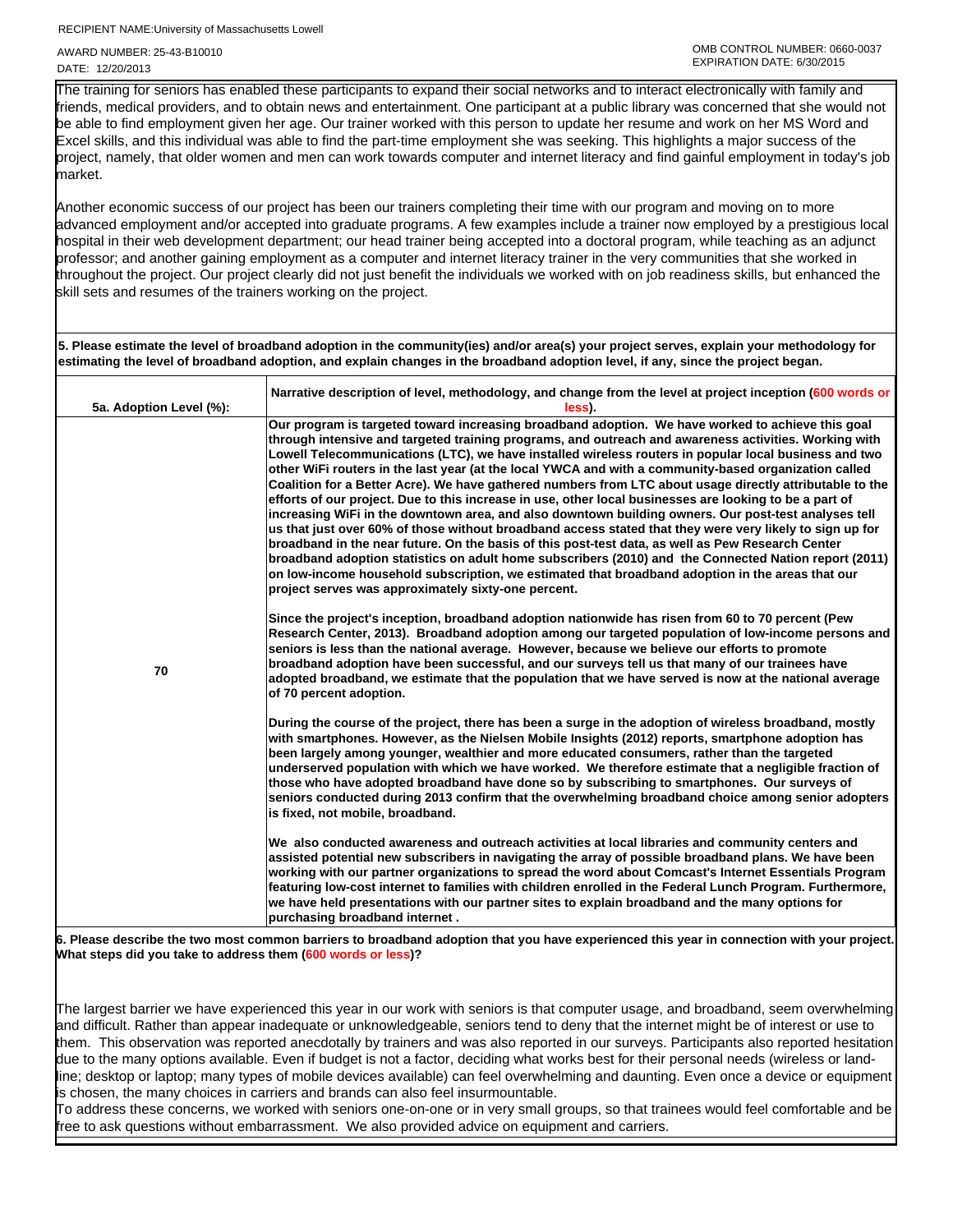RECIPIENT NAME:University of Massachusetts Lowell

AWARD NUMBER: 25-43-B10010 DATE: 12/20/2013

I

The training for seniors has enabled these participants to expand their social networks and to interact electronically with family and friends, medical providers, and to obtain news and entertainment. One participant at a public library was concerned that she would not be able to find employment given her age. Our trainer worked with this person to update her resume and work on her MS Word and Excel skills, and this individual was able to find the part-time employment she was seeking. This highlights a major success of the project, namely, that older women and men can work towards computer and internet literacy and find gainful employment in today's job market.

Another economic success of our project has been our trainers completing their time with our program and moving on to more advanced employment and/or accepted into graduate programs. A few examples include a trainer now employed by a prestigious local hospital in their web development department; our head trainer being accepted into a doctoral program, while teaching as an adjunct professor; and another gaining employment as a computer and internet literacy trainer in the very communities that she worked in throughout the project. Our project clearly did not just benefit the individuals we worked with on job readiness skills, but enhanced the skill sets and resumes of the trainers working on the project.

**5. Please estimate the level of broadband adoption in the community(ies) and/or area(s) your project serves, explain your methodology for estimating the level of broadband adoption, and explain changes in the broadband adoption level, if any, since the project began.**

| 5a. Adoption Level (%): | Narrative description of level, methodology, and change from the level at project inception (600 words or<br>less).                                                                                                                                                                                                                                                                                                                                                                                                                                                                                                                                                                                                                                                                                                                                                                                                                                                                                                                                                                                                                                                                                                                              |
|-------------------------|--------------------------------------------------------------------------------------------------------------------------------------------------------------------------------------------------------------------------------------------------------------------------------------------------------------------------------------------------------------------------------------------------------------------------------------------------------------------------------------------------------------------------------------------------------------------------------------------------------------------------------------------------------------------------------------------------------------------------------------------------------------------------------------------------------------------------------------------------------------------------------------------------------------------------------------------------------------------------------------------------------------------------------------------------------------------------------------------------------------------------------------------------------------------------------------------------------------------------------------------------|
|                         | Our program is targeted toward increasing broadband adoption. We have worked to achieve this goal<br>through intensive and targeted training programs, and outreach and awareness activities. Working with<br>Lowell Telecommunications (LTC), we have installed wireless routers in popular local business and two<br>other WiFi routers in the last year (at the local YWCA and with a community-based organization called<br>Coalition for a Better Acre). We have gathered numbers from LTC about usage directly attributable to the<br>efforts of our project. Due to this increase in use, other local businesses are looking to be a part of<br>increasing WiFi in the downtown area, and also downtown building owners. Our post-test analyses tell<br>us that just over 60% of those without broadband access stated that they were very likely to sign up for<br>broadband in the near future. On the basis of this post-test data, as well as Pew Research Center<br>broadband adoption statistics on adult home subscribers (2010) and the Connected Nation report (2011)<br>on low-income household subscription, we estimated that broadband adoption in the areas that our<br>project serves was approximately sixty-one percent. |
| 70                      | Since the project's inception, broadband adoption nationwide has risen from 60 to 70 percent (Pew<br>Research Center, 2013). Broadband adoption among our targeted population of low-income persons and<br>seniors is less than the national average. However, because we believe our efforts to promote<br>broadband adoption have been successful, and our surveys tell us that many of our trainees have<br>adopted broadband, we estimate that the population that we have served is now at the national average<br>of 70 percent adoption.                                                                                                                                                                                                                                                                                                                                                                                                                                                                                                                                                                                                                                                                                                  |
|                         | During the course of the project, there has been a surge in the adoption of wireless broadband, mostly<br>with smartphones. However, as the Nielsen Mobile Insights (2012) reports, smartphone adoption has<br>been largely among younger, wealthier and more educated consumers, rather than the targeted<br>underserved population with which we have worked. We therefore estimate that a negligible fraction of<br>those who have adopted broadband have done so by subscribing to smartphones. Our surveys of<br>seniors conducted during 2013 confirm that the overwhelming broadband choice among senior adopters<br>is fixed, not mobile, broadband.                                                                                                                                                                                                                                                                                                                                                                                                                                                                                                                                                                                     |
|                         | We also conducted awareness and outreach activities at local libraries and community centers and<br>assisted potential new subscribers in navigating the array of possible broadband plans. We have been<br>working with our partner organizations to spread the word about Comcast's Internet Essentials Program<br>featuring low-cost internet to families with children enrolled in the Federal Lunch Program. Furthermore,<br>we have held presentations with our partner sites to explain broadband and the many options for<br>purchasing broadband internet.                                                                                                                                                                                                                                                                                                                                                                                                                                                                                                                                                                                                                                                                              |
| c.                      | Plasse describe the two most common barriers to broadband adoption that you have experienced this year in connection with your project                                                                                                                                                                                                                                                                                                                                                                                                                                                                                                                                                                                                                                                                                                                                                                                                                                                                                                                                                                                                                                                                                                           |

**6. Please describe the two most common barriers to broadband adoption that you have experienced this year in connection with your project. What steps did you take to address them (600 words or less)?**

The largest barrier we have experienced this year in our work with seniors is that computer usage, and broadband, seem overwhelming and difficult. Rather than appear inadequate or unknowledgeable, seniors tend to deny that the internet might be of interest or use to them. This observation was reported anecdotally by trainers and was also reported in our surveys. Participants also reported hesitation due to the many options available. Even if budget is not a factor, deciding what works best for their personal needs (wireless or landline; desktop or laptop; many types of mobile devices available) can feel overwhelming and daunting. Even once a device or equipment is chosen, the many choices in carriers and brands can also feel insurmountable.

To address these concerns, we worked with seniors one-on-one or in very small groups, so that trainees would feel comfortable and be free to ask questions without embarrassment. We also provided advice on equipment and carriers.